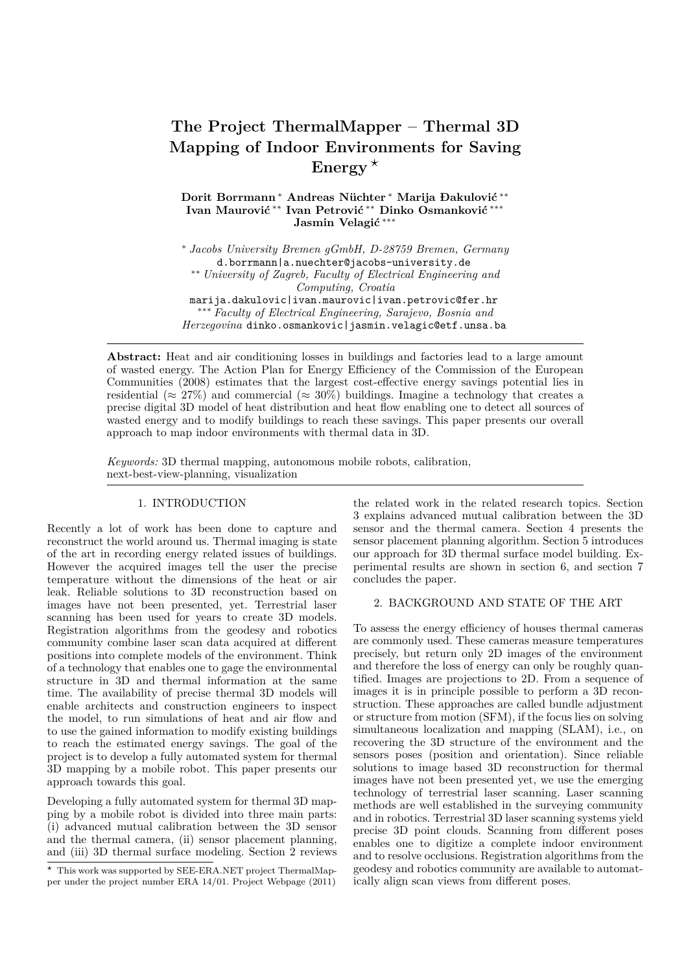# **The Project ThermalMapper – Thermal 3D Mapping of Indoor Environments for Saving Energy** *?*

**Dorit Borrmann** <sup>∗</sup> **Andreas Nüchter** <sup>∗</sup> **Marija Ðakulović** ∗∗ **Ivan Maurović** ∗∗ **Ivan Petrović** ∗∗ **Dinko Osmanković** ∗∗∗ **Jasmin Velagić** ∗∗∗

<sup>∗</sup> *Jacobs University Bremen gGmbH, D-28759 Bremen, Germany* d.borrmann|a.nuechter@jacobs-university.de ∗∗ *University of Zagreb, Faculty of Electrical Engineering and Computing, Croatia* marija.dakulovic|ivan.maurovic|ivan.petrovic@fer.hr ∗∗∗ *Faculty of Electrical Engineering, Sarajevo, Bosnia and Herzegovina* dinko.osmankovic|jasmin.velagic@etf.unsa.ba

**Abstract:** Heat and air conditioning losses in buildings and factories lead to a large amount of wasted energy. The Action Plan for Energy Efficiency of the Commission of the European Communities (2008) estimates that the largest cost-effective energy savings potential lies in residential ( $\approx 27\%$ ) and commercial ( $\approx 30\%$ ) buildings. Imagine a technology that creates a precise digital 3D model of heat distribution and heat flow enabling one to detect all sources of wasted energy and to modify buildings to reach these savings. This paper presents our overall approach to map indoor environments with thermal data in 3D.

*Keywords:* 3D thermal mapping, autonomous mobile robots, calibration, next-best-view-planning, visualization

# 1. INTRODUCTION

Recently a lot of work has been done to capture and reconstruct the world around us. Thermal imaging is state of the art in recording energy related issues of buildings. However the acquired images tell the user the precise temperature without the dimensions of the heat or air leak. Reliable solutions to 3D reconstruction based on images have not been presented, yet. Terrestrial laser scanning has been used for years to create 3D models. Registration algorithms from the geodesy and robotics community combine laser scan data acquired at different positions into complete models of the environment. Think of a technology that enables one to gage the environmental structure in 3D and thermal information at the same time. The availability of precise thermal 3D models will enable architects and construction engineers to inspect the model, to run simulations of heat and air flow and to use the gained information to modify existing buildings to reach the estimated energy savings. The goal of the project is to develop a fully automated system for thermal 3D mapping by a mobile robot. This paper presents our approach towards this goal.

Developing a fully automated system for thermal 3D mapping by a mobile robot is divided into three main parts: (i) advanced mutual calibration between the 3D sensor and the thermal camera, (ii) sensor placement planning, and (iii) 3D thermal surface modeling. Section 2 reviews

*?* This work was supported by SEE-ERA.NET project ThermalMapper under the project number ERA 14/01. Project Webpage (2011) the related work in the related research topics. Section 3 explains advanced mutual calibration between the 3D sensor and the thermal camera. Section 4 presents the sensor placement planning algorithm. Section 5 introduces our approach for 3D thermal surface model building. Experimental results are shown in section 6, and section 7 concludes the paper.

## 2. BACKGROUND AND STATE OF THE ART

To assess the energy efficiency of houses thermal cameras are commonly used. These cameras measure temperatures precisely, but return only 2D images of the environment and therefore the loss of energy can only be roughly quantified. Images are projections to 2D. From a sequence of images it is in principle possible to perform a 3D reconstruction. These approaches are called bundle adjustment or structure from motion (SFM), if the focus lies on solving simultaneous localization and mapping (SLAM), i.e., on recovering the 3D structure of the environment and the sensors poses (position and orientation). Since reliable solutions to image based 3D reconstruction for thermal images have not been presented yet, we use the emerging technology of terrestrial laser scanning. Laser scanning methods are well established in the surveying community and in robotics. Terrestrial 3D laser scanning systems yield precise 3D point clouds. Scanning from different poses enables one to digitize a complete indoor environment and to resolve occlusions. Registration algorithms from the geodesy and robotics community are available to automatically align scan views from different poses.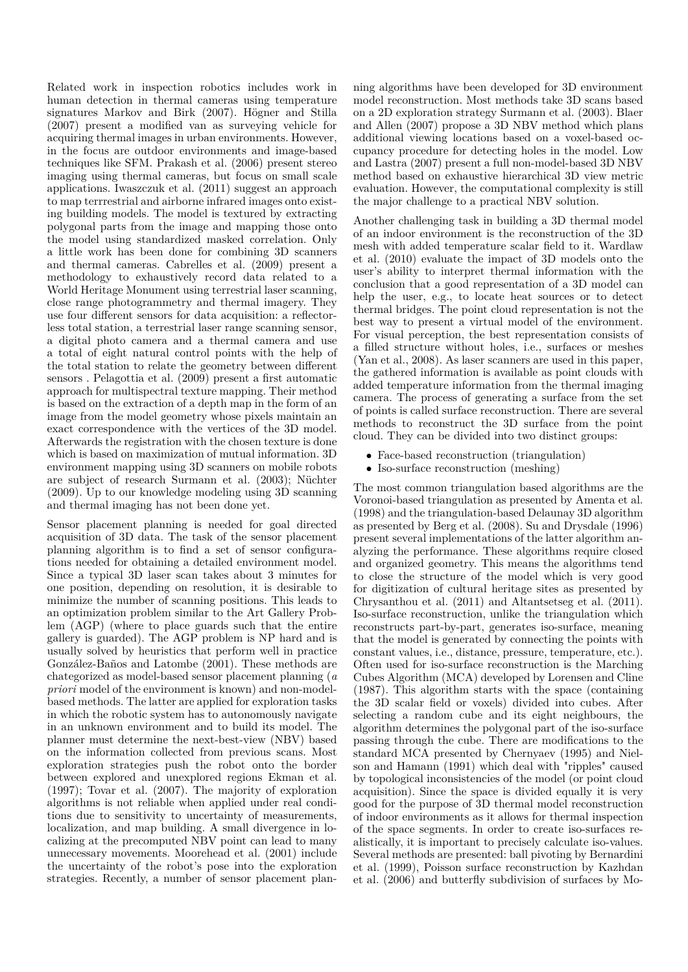Related work in inspection robotics includes work in human detection in thermal cameras using temperature signatures Markov and Birk (2007). Högner and Stilla (2007) present a modified van as surveying vehicle for acquiring thermal images in urban environments. However, in the focus are outdoor environments and image-based techniques like SFM. Prakash et al. (2006) present stereo imaging using thermal cameras, but focus on small scale applications. Iwaszczuk et al. (2011) suggest an approach to map terrrestrial and airborne infrared images onto existing building models. The model is textured by extracting polygonal parts from the image and mapping those onto the model using standardized masked correlation. Only a little work has been done for combining 3D scanners and thermal cameras. Cabrelles et al. (2009) present a methodology to exhaustively record data related to a World Heritage Monument using terrestrial laser scanning, close range photogrammetry and thermal imagery. They use four different sensors for data acquisition: a reflectorless total station, a terrestrial laser range scanning sensor, a digital photo camera and a thermal camera and use a total of eight natural control points with the help of the total station to relate the geometry between different sensors . Pelagottia et al. (2009) present a first automatic approach for multispectral texture mapping. Their method is based on the extraction of a depth map in the form of an image from the model geometry whose pixels maintain an exact correspondence with the vertices of the 3D model. Afterwards the registration with the chosen texture is done which is based on maximization of mutual information. 3D environment mapping using 3D scanners on mobile robots are subject of research Surmann et al. (2003); Nüchter (2009). Up to our knowledge modeling using 3D scanning and thermal imaging has not been done yet.

Sensor placement planning is needed for goal directed acquisition of 3D data. The task of the sensor placement planning algorithm is to find a set of sensor configurations needed for obtaining a detailed environment model. Since a typical 3D laser scan takes about 3 minutes for one position, depending on resolution, it is desirable to minimize the number of scanning positions. This leads to an optimization problem similar to the Art Gallery Problem (AGP) (where to place guards such that the entire gallery is guarded). The AGP problem is NP hard and is usually solved by heuristics that perform well in practice González-Baños and Latombe (2001). These methods are chategorized as model-based sensor placement planning (*a priori* model of the environment is known) and non-modelbased methods. The latter are applied for exploration tasks in which the robotic system has to autonomously navigate in an unknown environment and to build its model. The planner must determine the next-best-view (NBV) based on the information collected from previous scans. Most exploration strategies push the robot onto the border between explored and unexplored regions Ekman et al. (1997); Tovar et al. (2007). The majority of exploration algorithms is not reliable when applied under real conditions due to sensitivity to uncertainty of measurements, localization, and map building. A small divergence in localizing at the precomputed NBV point can lead to many unnecessary movements. Moorehead et al. (2001) include the uncertainty of the robot's pose into the exploration strategies. Recently, a number of sensor placement planning algorithms have been developed for 3D environment model reconstruction. Most methods take 3D scans based on a 2D exploration strategy Surmann et al. (2003). Blaer and Allen (2007) propose a 3D NBV method which plans additional viewing locations based on a voxel-based occupancy procedure for detecting holes in the model. Low and Lastra (2007) present a full non-model-based 3D NBV method based on exhaustive hierarchical 3D view metric evaluation. However, the computational complexity is still the major challenge to a practical NBV solution.

Another challenging task in building a 3D thermal model of an indoor environment is the reconstruction of the 3D mesh with added temperature scalar field to it. Wardlaw et al. (2010) evaluate the impact of 3D models onto the user's ability to interpret thermal information with the conclusion that a good representation of a 3D model can help the user, e.g., to locate heat sources or to detect thermal bridges. The point cloud representation is not the best way to present a virtual model of the environment. For visual perception, the best representation consists of a filled structure without holes, i.e., surfaces or meshes (Yan et al., 2008). As laser scanners are used in this paper, the gathered information is available as point clouds with added temperature information from the thermal imaging camera. The process of generating a surface from the set of points is called surface reconstruction. There are several methods to reconstruct the 3D surface from the point cloud. They can be divided into two distinct groups:

- Face-based reconstruction (triangulation)
- Iso-surface reconstruction (meshing)

The most common triangulation based algorithms are the Voronoi-based triangulation as presented by Amenta et al. (1998) and the triangulation-based Delaunay 3D algorithm as presented by Berg et al. (2008). Su and Drysdale (1996) present several implementations of the latter algorithm analyzing the performance. These algorithms require closed and organized geometry. This means the algorithms tend to close the structure of the model which is very good for digitization of cultural heritage sites as presented by Chrysanthou et al. (2011) and Altantsetseg et al. (2011). Iso-surface reconstruction, unlike the triangulation which reconstructs part-by-part, generates iso-surface, meaning that the model is generated by connecting the points with constant values, i.e., distance, pressure, temperature, etc.). Often used for iso-surface reconstruction is the Marching Cubes Algorithm (MCA) developed by Lorensen and Cline (1987). This algorithm starts with the space (containing the 3D scalar field or voxels) divided into cubes. After selecting a random cube and its eight neighbours, the algorithm determines the polygonal part of the iso-surface passing through the cube. There are modifications to the standard MCA presented by Chernyaev (1995) and Nielson and Hamann (1991) which deal with "ripples" caused by topological inconsistencies of the model (or point cloud acquisition). Since the space is divided equally it is very good for the purpose of 3D thermal model reconstruction of indoor environments as it allows for thermal inspection of the space segments. In order to create iso-surfaces realistically, it is important to precisely calculate iso-values. Several methods are presented: ball pivoting by Bernardini et al. (1999), Poisson surface reconstruction by Kazhdan et al. (2006) and butterfly subdivision of surfaces by Mo-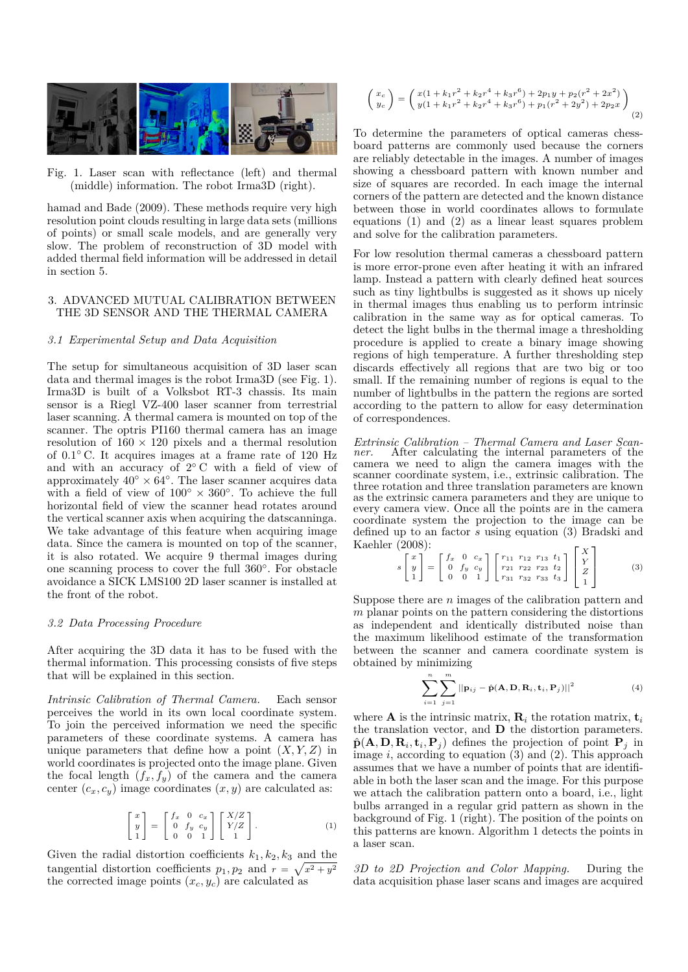

Fig. 1. Laser scan with reflectance (left) and thermal (middle) information. The robot Irma3D (right).

hamad and Bade (2009). These methods require very high resolution point clouds resulting in large data sets (millions of points) or small scale models, and are generally very slow. The problem of reconstruction of 3D model with added thermal field information will be addressed in detail in section 5.

## 3. ADVANCED MUTUAL CALIBRATION BETWEEN THE 3D SENSOR AND THE THERMAL CAMERA

## *3.1 Experimental Setup and Data Acquisition*

The setup for simultaneous acquisition of 3D laser scan data and thermal images is the robot Irma3D (see Fig. 1). Irma3D is built of a Volksbot RT-3 chassis. Its main sensor is a Riegl VZ-400 laser scanner from terrestrial laser scanning. A thermal camera is mounted on top of the scanner. The optris PI160 thermal camera has an image resolution of  $160 \times 120$  pixels and a thermal resolution of 0.1◦ C. It acquires images at a frame rate of 120 Hz and with an accuracy of 2◦ C with a field of view of approximately  $40° \times 64°$ . The laser scanner acquires data with a field of view of  $100° \times 360°$ . To achieve the full horizontal field of view the scanner head rotates around the vertical scanner axis when acquiring the datscanninga. We take advantage of this feature when acquiring image data. Since the camera is mounted on top of the scanner, it is also rotated. We acquire 9 thermal images during one scanning process to cover the full 360◦ . For obstacle avoidance a SICK LMS100 2D laser scanner is installed at the front of the robot.

### *3.2 Data Processing Procedure*

After acquiring the 3D data it has to be fused with the thermal information. This processing consists of five steps that will be explained in this section.

*Intrinsic Calibration of Thermal Camera.* Each sensor perceives the world in its own local coordinate system. To join the perceived information we need the specific parameters of these coordinate systems. A camera has unique parameters that define how a point  $(X, Y, Z)$  in world coordinates is projected onto the image plane. Given the focal length  $(f_x, f_y)$  of the camera and the camera center  $(c_x, c_y)$  image coordinates  $(x, y)$  are calculated as:

$$
\begin{bmatrix} x \\ y \\ 1 \end{bmatrix} = \begin{bmatrix} f_x & 0 & c_x \\ 0 & f_y & c_y \\ 0 & 0 & 1 \end{bmatrix} \begin{bmatrix} X/Z \\ Y/Z \\ 1 \end{bmatrix}.
$$
 (1)

Given the radial distortion coefficients  $k_1, k_2, k_3$  and the tangential distortion coefficients  $p_1, p_2$  and  $r = \sqrt{x^2 + y^2}$ the corrected image points  $(x_c, y_c)$  are calculated as

$$
\begin{pmatrix} x_c \\ y_c \end{pmatrix} = \begin{pmatrix} x(1 + k_1r^2 + k_2r^4 + k_3r^6) + 2p_1y + p_2(r^2 + 2x^2) \\ y(1 + k_1r^2 + k_2r^4 + k_3r^6) + p_1(r^2 + 2y^2) + 2p_2x \end{pmatrix}
$$
  
(2)

To determine the parameters of optical cameras chessboard patterns are commonly used because the corners are reliably detectable in the images. A number of images showing a chessboard pattern with known number and size of squares are recorded. In each image the internal corners of the pattern are detected and the known distance between those in world coordinates allows to formulate equations (1) and (2) as a linear least squares problem and solve for the calibration parameters.

For low resolution thermal cameras a chessboard pattern is more error-prone even after heating it with an infrared lamp. Instead a pattern with clearly defined heat sources such as tiny lightbulbs is suggested as it shows up nicely in thermal images thus enabling us to perform intrinsic calibration in the same way as for optical cameras. To detect the light bulbs in the thermal image a thresholding procedure is applied to create a binary image showing regions of high temperature. A further thresholding step discards effectively all regions that are two big or too small. If the remaining number of regions is equal to the number of lightbulbs in the pattern the regions are sorted according to the pattern to allow for easy determination of correspondences.

*Extrinsic Calibration – Thermal Camera and Laser Scan-*After calculating the internal parameters of the camera we need to align the camera images with the scanner coordinate system, i.e., extrinsic calibration. The three rotation and three translation parameters are known as the extrinsic camera parameters and they are unique to every camera view. Once all the points are in the camera coordinate system the projection to the image can be defined up to an factor *s* using equation (3) Bradski and Kaehler (2008):

$$
s\begin{bmatrix} x \\ y \\ 1 \end{bmatrix} = \begin{bmatrix} f_x & 0 & c_x \\ 0 & f_y & c_y \\ 0 & 0 & 1 \end{bmatrix} \begin{bmatrix} r_{11} & r_{12} & r_{13} & t_1 \\ r_{21} & r_{22} & r_{23} & t_2 \\ r_{31} & r_{32} & r_{33} & t_3 \end{bmatrix} \begin{bmatrix} X \\ Y \\ Z \\ 1 \end{bmatrix}
$$
(3)

Suppose there are *n* images of the calibration pattern and *m* planar points on the pattern considering the distortions as independent and identically distributed noise than the maximum likelihood estimate of the transformation between the scanner and camera coordinate system is obtained by minimizing

$$
\sum_{i=1}^{n} \sum_{j=1}^{m} ||\mathbf{p}_{ij} - \hat{\mathbf{p}}(\mathbf{A}, \mathbf{D}, \mathbf{R}_i, \mathbf{t}_i, \mathbf{P}_j)||^2
$$
 (4)

where **A** is the intrinsic matrix,  $\mathbf{R}_i$  the rotation matrix,  $\mathbf{t}_i$ the translation vector, and **D** the distortion parameters.  $\hat{\mathbf{p}}(\mathbf{A}, \mathbf{D}, \mathbf{R}_i, \mathbf{t}_i, \mathbf{P}_j)$  defines the projection of point  $\mathbf{P}_j$  in image *i*, according to equation (3) and (2). This approach assumes that we have a number of points that are identifiable in both the laser scan and the image. For this purpose we attach the calibration pattern onto a board, i.e., light bulbs arranged in a regular grid pattern as shown in the background of Fig. 1 (right). The position of the points on this patterns are known. Algorithm 1 detects the points in a laser scan.

*3D to 2D Projection and Color Mapping.* During the data acquisition phase laser scans and images are acquired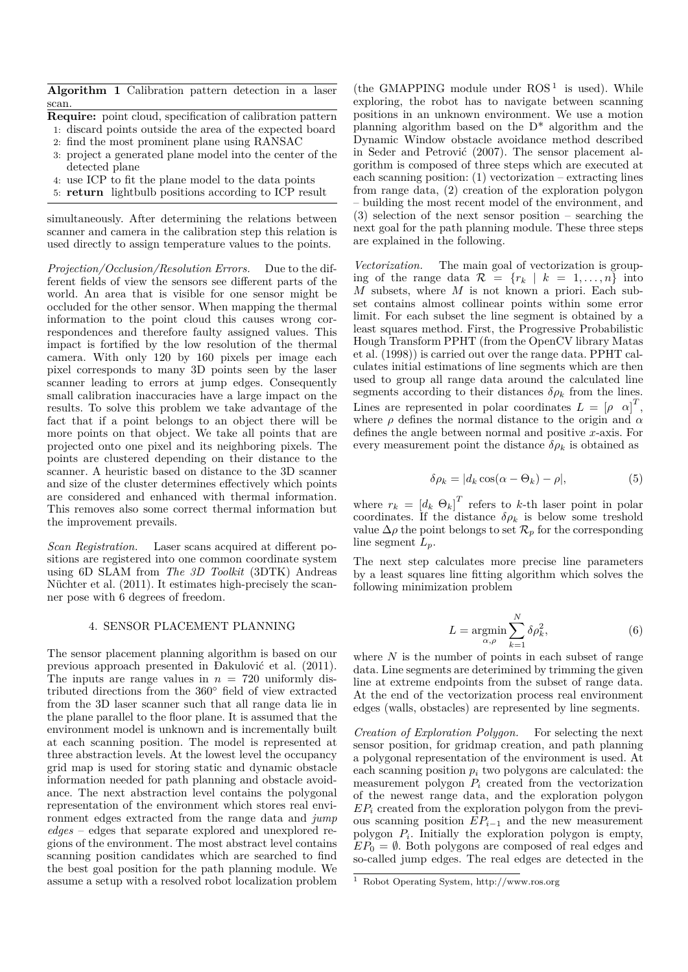**Algorithm 1** Calibration pattern detection in a laser scan.

- **Require:** point cloud, specification of calibration pattern
- 1: discard points outside the area of the expected board
- 2: find the most prominent plane using RANSAC
- project a generated plane model into the center of the detected plane
- 4: use ICP to fit the plane model to the data points
- 5: **return** lightbulb positions according to ICP result

simultaneously. After determining the relations between scanner and camera in the calibration step this relation is used directly to assign temperature values to the points.

*Projection/Occlusion/Resolution Errors.* Due to the different fields of view the sensors see different parts of the world. An area that is visible for one sensor might be occluded for the other sensor. When mapping the thermal information to the point cloud this causes wrong correspondences and therefore faulty assigned values. This impact is fortified by the low resolution of the thermal camera. With only 120 by 160 pixels per image each pixel corresponds to many 3D points seen by the laser scanner leading to errors at jump edges. Consequently small calibration inaccuracies have a large impact on the results. To solve this problem we take advantage of the fact that if a point belongs to an object there will be more points on that object. We take all points that are projected onto one pixel and its neighboring pixels. The points are clustered depending on their distance to the scanner. A heuristic based on distance to the 3D scanner and size of the cluster determines effectively which points are considered and enhanced with thermal information. This removes also some correct thermal information but the improvement prevails.

*Scan Registration.* Laser scans acquired at different positions are registered into one common coordinate system using 6D SLAM from *The 3D Toolkit* (3DTK) Andreas Nüchter et al. (2011). It estimates high-precisely the scanner pose with 6 degrees of freedom.

# 4. SENSOR PLACEMENT PLANNING

The sensor placement planning algorithm is based on our previous approach presented in Ðakulović et al. (2011). The inputs are range values in  $n = 720$  uniformly distributed directions from the 360◦ field of view extracted from the 3D laser scanner such that all range data lie in the plane parallel to the floor plane. It is assumed that the environment model is unknown and is incrementally built at each scanning position. The model is represented at three abstraction levels. At the lowest level the occupancy grid map is used for storing static and dynamic obstacle information needed for path planning and obstacle avoidance. The next abstraction level contains the polygonal representation of the environment which stores real environment edges extracted from the range data and *jump edges* – edges that separate explored and unexplored regions of the environment. The most abstract level contains scanning position candidates which are searched to find the best goal position for the path planning module. We assume a setup with a resolved robot localization problem

(the GMAPPING module under  $ROS<sup>1</sup>$  is used). While exploring, the robot has to navigate between scanning positions in an unknown environment. We use a motion planning algorithm based on the D\* algorithm and the Dynamic Window obstacle avoidance method described in Seder and Petrović (2007). The sensor placement algorithm is composed of three steps which are executed at each scanning position: (1) vectorization – extracting lines from range data, (2) creation of the exploration polygon – building the most recent model of the environment, and (3) selection of the next sensor position – searching the next goal for the path planning module. These three steps are explained in the following.

*Vectorization.* The main goal of vectorization is grouping of the range data  $\mathcal{R} = \{r_k | k = 1, ..., n\}$  into *M* subsets, where *M* is not known a priori. Each subset contains almost collinear points within some error limit. For each subset the line segment is obtained by a least squares method. First, the Progressive Probabilistic Hough Transform PPHT (from the OpenCV library Matas et al. (1998)) is carried out over the range data. PPHT calculates initial estimations of line segments which are then used to group all range data around the calculated line segments according to their distances  $\delta \rho_k$  from the lines. Lines are represented in polar coordinates  $L = [\rho \alpha]^T$ , where  $\rho$  defines the normal distance to the origin and  $\alpha$ defines the angle between normal and positive *x*-axis. For every measurement point the distance  $\delta \rho_k$  is obtained as

$$
\delta \rho_k = |d_k \cos(\alpha - \Theta_k) - \rho|,\tag{5}
$$

where  $r_k = [d_k \Theta_k]^T$  refers to *k*-th laser point in polar coordinates. If the distance  $\delta \rho_k$  is below some treshold value  $\Delta \rho$  the point belongs to set  $\mathcal{R}_p$  for the corresponding line segment *Lp*.

The next step calculates more precise line parameters by a least squares line fitting algorithm which solves the following minimization problem

$$
L = \underset{\alpha,\rho}{\text{argmin}} \sum_{k=1}^{N} \delta \rho_k^2,\tag{6}
$$

where *N* is the number of points in each subset of range data. Line segments are deterimined by trimming the given line at extreme endpoints from the subset of range data. At the end of the vectorization process real environment edges (walls, obstacles) are represented by line segments.

*Creation of Exploration Polygon.* For selecting the next sensor position, for gridmap creation, and path planning a polygonal representation of the environment is used. At each scanning position  $p_i$  two polygons are calculated: the measurement polygon  $P_i$  created from the vectorization of the newest range data, and the exploration polygon *EP<sup>i</sup>* created from the exploration polygon from the previous scanning position *EPi*−<sup>1</sup> and the new measurement polygon  $P_i$ . Initially the exploration polygon is empty,  $EP_0 = \emptyset$ . Both polygons are composed of real edges and so-called jump edges. The real edges are detected in the

<sup>1</sup> Robot Operating System, http://www.ros.org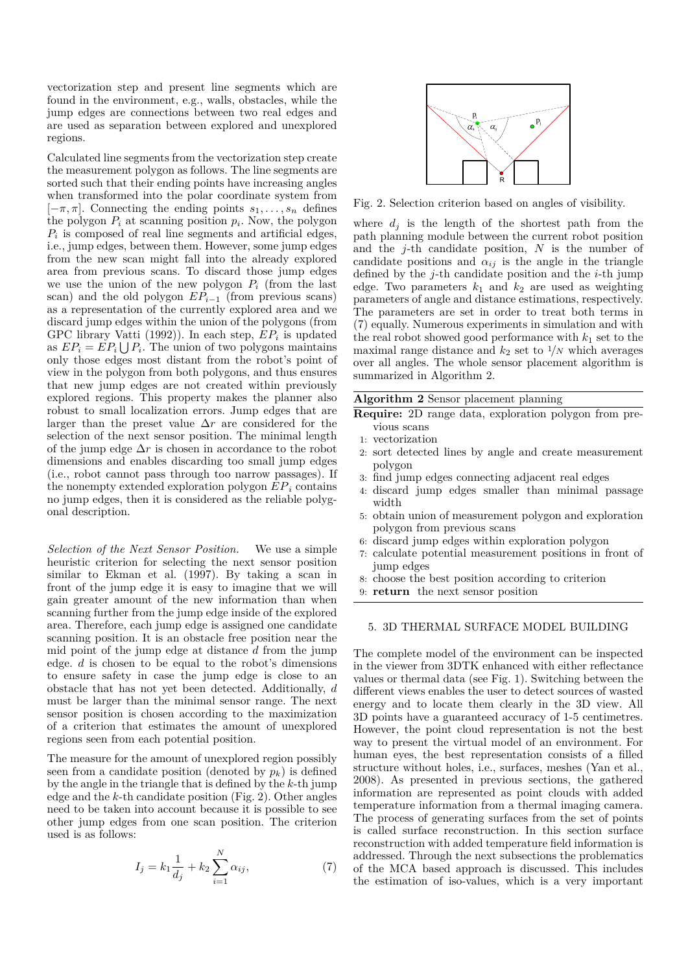vectorization step and present line segments which are found in the environment, e.g., walls, obstacles, while the jump edges are connections between two real edges and are used as separation between explored and unexplored regions.

Calculated line segments from the vectorization step create the measurement polygon as follows. The line segments are sorted such that their ending points have increasing angles when transformed into the polar coordinate system from  $[-\pi, \pi]$ . Connecting the ending points  $s_1, \ldots, s_n$  defines the polygon  $P_i$  at scanning position  $p_i$ . Now, the polygon  $P_i$  is composed of real line segments and artificial edges, i.e., jump edges, between them. However, some jump edges from the new scan might fall into the already explored area from previous scans. To discard those jump edges we use the union of the new polygon  $P_i$  (from the last scan) and the old polygon  $EP_{i-1}$  (from previous scans) as a representation of the currently explored area and we discard jump edges within the union of the polygons (from GPC library Vatti (1992)). In each step, *EP<sup>i</sup>* is updated as  $EP_i = EP_i \bigcup P_i$ . The union of two polygons maintains only those edges most distant from the robot's point of view in the polygon from both polygons, and thus ensures that new jump edges are not created within previously explored regions. This property makes the planner also robust to small localization errors. Jump edges that are larger than the preset value ∆*r* are considered for the selection of the next sensor position. The minimal length of the jump edge  $\Delta r$  is chosen in accordance to the robot dimensions and enables discarding too small jump edges (i.e., robot cannot pass through too narrow passages). If the nonempty extended exploration polygon  $EP_i$  contains no jump edges, then it is considered as the reliable polygonal description.

*Selection of the Next Sensor Position.* We use a simple heuristic criterion for selecting the next sensor position similar to Ekman et al. (1997). By taking a scan in front of the jump edge it is easy to imagine that we will gain greater amount of the new information than when scanning further from the jump edge inside of the explored area. Therefore, each jump edge is assigned one candidate scanning position. It is an obstacle free position near the mid point of the jump edge at distance *d* from the jump edge. *d* is chosen to be equal to the robot's dimensions to ensure safety in case the jump edge is close to an obstacle that has not yet been detected. Additionally, *d* must be larger than the minimal sensor range. The next sensor position is chosen according to the maximization of a criterion that estimates the amount of unexplored regions seen from each potential position.

The measure for the amount of unexplored region possibly seen from a candidate position (denoted by  $p_k$ ) is defined by the angle in the triangle that is defined by the *k*-th jump edge and the *k*-th candidate position (Fig. 2). Other angles need to be taken into account because it is possible to see other jump edges from one scan position. The criterion used is as follows:

$$
I_j = k_1 \frac{1}{d_j} + k_2 \sum_{i=1}^{N} \alpha_{ij},
$$
\n(7)



Fig. 2. Selection criterion based on angles of visibility.

where  $d_i$  is the length of the shortest path from the path planning module between the current robot position and the *j*-th candidate position, *N* is the number of candidate positions and  $\alpha_{ij}$  is the angle in the triangle defined by the *j*-th candidate position and the *i*-th jump edge. Two parameters  $k_1$  and  $k_2$  are used as weighting parameters of angle and distance estimations, respectively. The parameters are set in order to treat both terms in (7) equally. Numerous experiments in simulation and with the real robot showed good performance with  $k_1$  set to the maximal range distance and  $k_2$  set to  $\frac{1}{N}$  which averages over all angles. The whole sensor placement algorithm is summarized in Algorithm 2.

**Algorithm 2** Sensor placement planning

- **Require:** 2D range data, exploration polygon from previous scans
	- 1: vectorization
	- 2: sort detected lines by angle and create measurement polygon
- 3: find jump edges connecting adjacent real edges
- 4: discard jump edges smaller than minimal passage width
- 5: obtain union of measurement polygon and exploration polygon from previous scans
- 6: discard jump edges within exploration polygon
- 7: calculate potential measurement positions in front of jump edges
- 8: choose the best position according to criterion
- 9: **return** the next sensor position

## 5. 3D THERMAL SURFACE MODEL BUILDING

The complete model of the environment can be inspected in the viewer from 3DTK enhanced with either reflectance values or thermal data (see Fig. 1). Switching between the different views enables the user to detect sources of wasted energy and to locate them clearly in the 3D view. All 3D points have a guaranteed accuracy of 1-5 centimetres. However, the point cloud representation is not the best way to present the virtual model of an environment. For human eyes, the best representation consists of a filled structure without holes, i.e., surfaces, meshes (Yan et al., 2008). As presented in previous sections, the gathered information are represented as point clouds with added temperature information from a thermal imaging camera. The process of generating surfaces from the set of points is called surface reconstruction. In this section surface reconstruction with added temperature field information is addressed. Through the next subsections the problematics of the MCA based approach is discussed. This includes the estimation of iso-values, which is a very important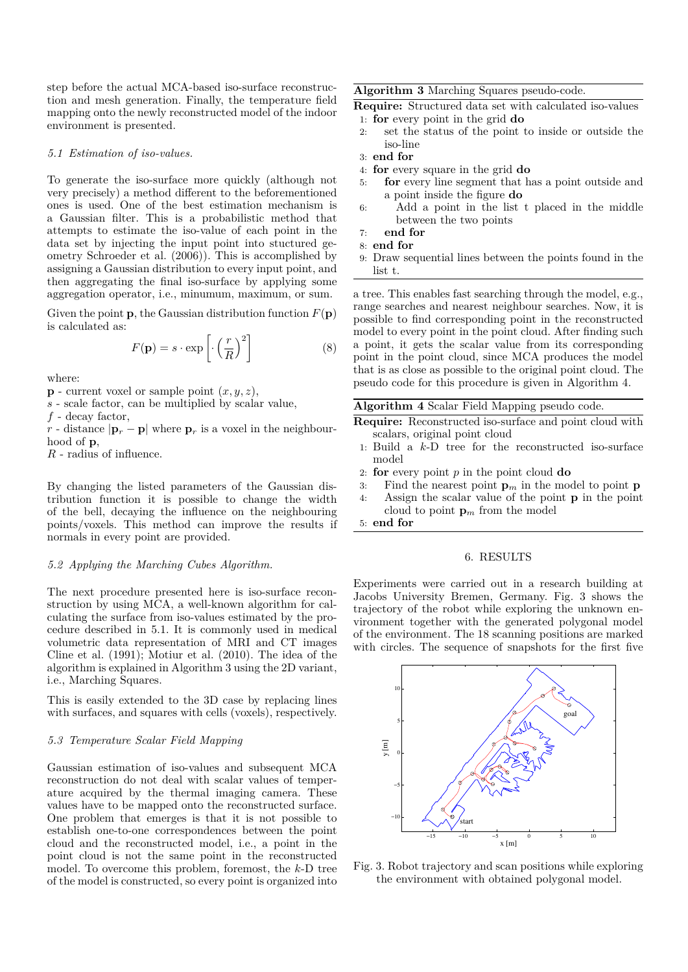step before the actual MCA-based iso-surface reconstruction and mesh generation. Finally, the temperature field mapping onto the newly reconstructed model of the indoor environment is presented.

#### *5.1 Estimation of iso-values.*

To generate the iso-surface more quickly (although not very precisely) a method different to the beforementioned ones is used. One of the best estimation mechanism is a Gaussian filter. This is a probabilistic method that attempts to estimate the iso-value of each point in the data set by injecting the input point into stuctured geometry Schroeder et al. (2006)). This is accomplished by assigning a Gaussian distribution to every input point, and then aggregating the final iso-surface by applying some aggregation operator, i.e., minumum, maximum, or sum.

Given the point **p**, the Gaussian distribution function  $F(\mathbf{p})$ is calculated as:

$$
F(\mathbf{p}) = s \cdot \exp\left[\cdot \left(\frac{r}{R}\right)^2\right]
$$
 (8)

where:

 $\mathbf{p}$  - current voxel or sample point  $(x, y, z)$ ,

*s* - scale factor, can be multiplied by scalar value,

*f* - decay factor,

*r* - distance  $|\mathbf{p}_r - \mathbf{p}|$  where  $\mathbf{p}_r$  is a voxel in the neighbourhood of **p**,

*R* - radius of influence.

By changing the listed parameters of the Gaussian distribution function it is possible to change the width of the bell, decaying the influence on the neighbouring points/voxels. This method can improve the results if normals in every point are provided.

## *5.2 Applying the Marching Cubes Algorithm.*

The next procedure presented here is iso-surface reconstruction by using MCA, a well-known algorithm for calculating the surface from iso-values estimated by the procedure described in 5.1. It is commonly used in medical volumetric data representation of MRI and CT images Cline et al. (1991); Motiur et al. (2010). The idea of the algorithm is explained in Algorithm 3 using the 2D variant, i.e., Marching Squares.

This is easily extended to the 3D case by replacing lines with surfaces, and squares with cells (voxels), respectively.

## *5.3 Temperature Scalar Field Mapping*

Gaussian estimation of iso-values and subsequent MCA reconstruction do not deal with scalar values of temperature acquired by the thermal imaging camera. These values have to be mapped onto the reconstructed surface. One problem that emerges is that it is not possible to establish one-to-one correspondences between the point cloud and the reconstructed model, i.e., a point in the point cloud is not the same point in the reconstructed model. To overcome this problem, foremost, the *k*-D tree of the model is constructed, so every point is organized into

## **Algorithm 3** Marching Squares pseudo-code.

**Require:** Structured data set with calculated iso-values

- 1: **for** every point in the grid **do**
- 2: set the status of the point to inside or outside the iso-line
- 3: **end for**
- 4: **for** every square in the grid **do**
- 5: **for** every line segment that has a point outside and a point inside the figure **do**
- 6: Add a point in the list t placed in the middle between the two points
- 7: **end for**
- 8: **end for**
- 9: Draw sequential lines between the points found in the list t.

a tree. This enables fast searching through the model, e.g., range searches and nearest neighbour searches. Now, it is possible to find corresponding point in the reconstructed model to every point in the point cloud. After finding such a point, it gets the scalar value from its corresponding point in the point cloud, since MCA produces the model that is as close as possible to the original point cloud. The pseudo code for this procedure is given in Algorithm 4.

## **Algorithm 4** Scalar Field Mapping pseudo code.

- **Require:** Reconstructed iso-surface and point cloud with scalars, original point cloud
- 1: Build a *k*-D tree for the reconstructed iso-surface model
- 2: **for** every point *p* in the point cloud **do**
- 3: Find the nearest point  $\mathbf{p}_m$  in the model to point  $\mathbf{p}$
- 4: Assign the scalar value of the point **p** in the point cloud to point  $\mathbf{p}_m$  from the model

5: **end for**

## 6. RESULTS

Experiments were carried out in a research building at Jacobs University Bremen, Germany. Fig. 3 shows the trajectory of the robot while exploring the unknown environment together with the generated polygonal model of the environment. The 18 scanning positions are marked with circles. The sequence of snapshots for the first five



Fig. 3. Robot trajectory and scan positions while exploring the environment with obtained polygonal model.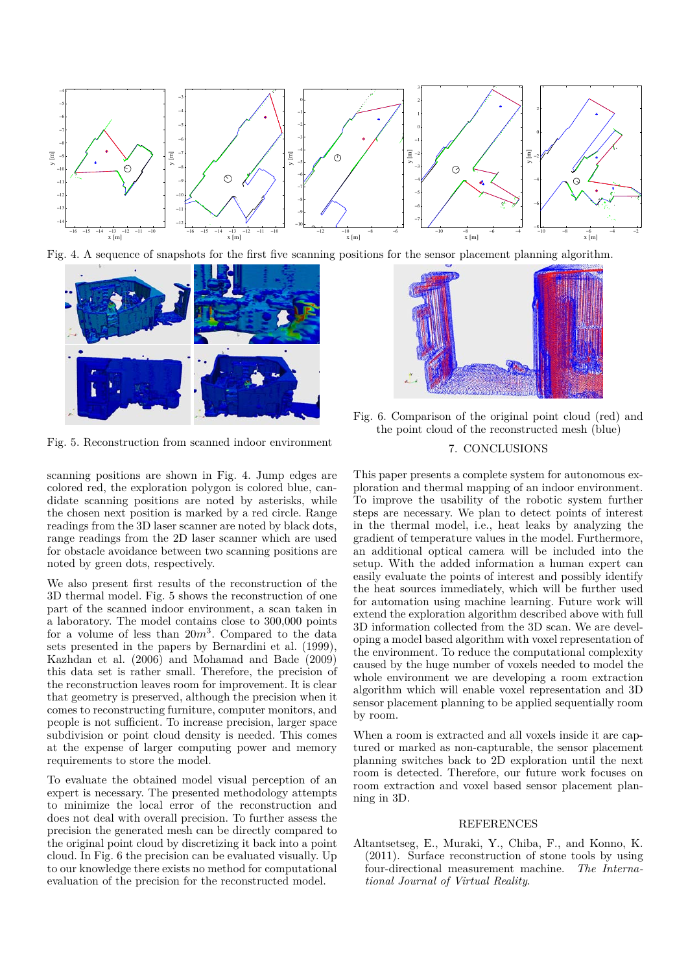





Fig. 5. Reconstruction from scanned indoor environment

scanning positions are shown in Fig. 4. Jump edges are colored red, the exploration polygon is colored blue, candidate scanning positions are noted by asterisks, while the chosen next position is marked by a red circle. Range readings from the 3D laser scanner are noted by black dots, range readings from the 2D laser scanner which are used for obstacle avoidance between two scanning positions are noted by green dots, respectively.

We also present first results of the reconstruction of the 3D thermal model. Fig. 5 shows the reconstruction of one part of the scanned indoor environment, a scan taken in a laboratory. The model contains close to 300,000 points for a volume of less than 20*m*<sup>3</sup> . Compared to the data sets presented in the papers by Bernardini et al. (1999), Kazhdan et al. (2006) and Mohamad and Bade (2009) this data set is rather small. Therefore, the precision of the reconstruction leaves room for improvement. It is clear that geometry is preserved, although the precision when it comes to reconstructing furniture, computer monitors, and people is not sufficient. To increase precision, larger space subdivision or point cloud density is needed. This comes at the expense of larger computing power and memory requirements to store the model.

To evaluate the obtained model visual perception of an expert is necessary. The presented methodology attempts to minimize the local error of the reconstruction and does not deal with overall precision. To further assess the precision the generated mesh can be directly compared to the original point cloud by discretizing it back into a point cloud. In Fig. 6 the precision can be evaluated visually. Up to our knowledge there exists no method for computational evaluation of the precision for the reconstructed model.



Fig. 6. Comparison of the original point cloud (red) and the point cloud of the reconstructed mesh (blue)

# 7. CONCLUSIONS

This paper presents a complete system for autonomous exploration and thermal mapping of an indoor environment. To improve the usability of the robotic system further steps are necessary. We plan to detect points of interest in the thermal model, i.e., heat leaks by analyzing the gradient of temperature values in the model. Furthermore, an additional optical camera will be included into the setup. With the added information a human expert can easily evaluate the points of interest and possibly identify the heat sources immediately, which will be further used for automation using machine learning. Future work will extend the exploration algorithm described above with full 3D information collected from the 3D scan. We are developing a model based algorithm with voxel representation of the environment. To reduce the computational complexity caused by the huge number of voxels needed to model the whole environment we are developing a room extraction algorithm which will enable voxel representation and 3D sensor placement planning to be applied sequentially room by room.

When a room is extracted and all voxels inside it are captured or marked as non-capturable, the sensor placement planning switches back to 2D exploration until the next room is detected. Therefore, our future work focuses on room extraction and voxel based sensor placement planning in 3D.

## REFERENCES

Altantsetseg, E., Muraki, Y., Chiba, F., and Konno, K. (2011). Surface reconstruction of stone tools by using four-directional measurement machine. *The International Journal of Virtual Reality*.